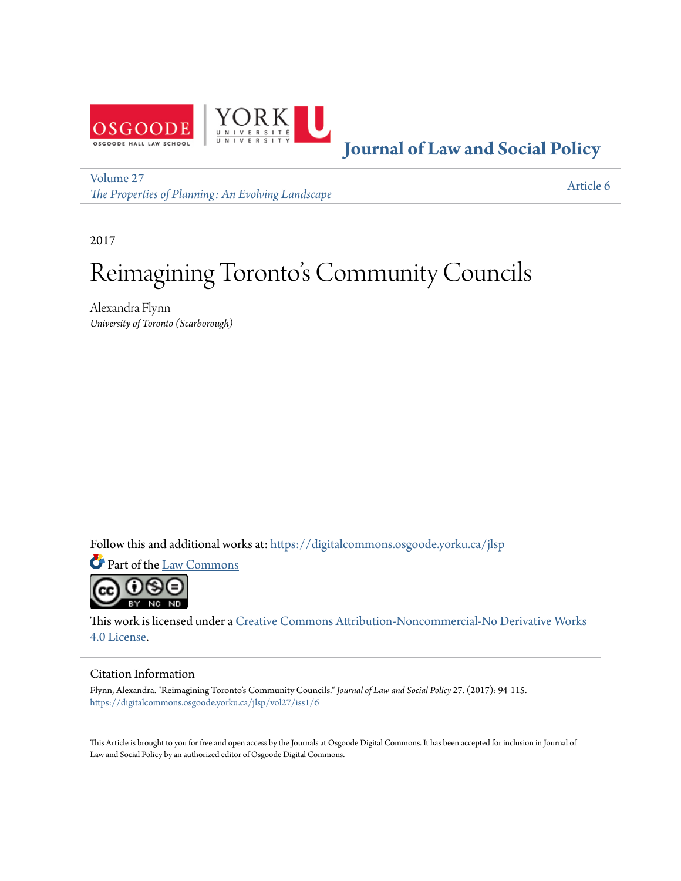

**[Journal of Law and Social Policy](https://digitalcommons.osgoode.yorku.ca/jlsp?utm_source=digitalcommons.osgoode.yorku.ca%2Fjlsp%2Fvol27%2Fiss1%2F6&utm_medium=PDF&utm_campaign=PDFCoverPages)**

[Volume 27](https://digitalcommons.osgoode.yorku.ca/jlsp/vol27?utm_source=digitalcommons.osgoode.yorku.ca%2Fjlsp%2Fvol27%2Fiss1%2F6&utm_medium=PDF&utm_campaign=PDFCoverPages) *[The Properties of Planning: An Evolving Landscape](https://digitalcommons.osgoode.yorku.ca/jlsp/vol27?utm_source=digitalcommons.osgoode.yorku.ca%2Fjlsp%2Fvol27%2Fiss1%2F6&utm_medium=PDF&utm_campaign=PDFCoverPages)*

[Article 6](https://digitalcommons.osgoode.yorku.ca/jlsp/vol27/iss1/6?utm_source=digitalcommons.osgoode.yorku.ca%2Fjlsp%2Fvol27%2Fiss1%2F6&utm_medium=PDF&utm_campaign=PDFCoverPages)

2017

# Reimagining Toronto 's Community Councils

Alexandra Flynn *University of Toronto (Scarborough)*

Follow this and additional works at: [https://digitalcommons.osgoode.yorku.ca/jlsp](https://digitalcommons.osgoode.yorku.ca/jlsp?utm_source=digitalcommons.osgoode.yorku.ca%2Fjlsp%2Fvol27%2Fiss1%2F6&utm_medium=PDF&utm_campaign=PDFCoverPages)

Part of the [Law Commons](http://network.bepress.com/hgg/discipline/578?utm_source=digitalcommons.osgoode.yorku.ca%2Fjlsp%2Fvol27%2Fiss1%2F6&utm_medium=PDF&utm_campaign=PDFCoverPages)



This work is licensed under a [Creative Commons Attribution-Noncommercial-No Derivative Works](https://creativecommons.org/licenses/by-nc-nd/4.0/) [4.0 License.](https://creativecommons.org/licenses/by-nc-nd/4.0/)

#### Citation Information

Flynn, Alexandra. "Reimagining Toronto's Community Councils." *Journal of Law and Social Policy* 27. (2017): 94-115. [https://digitalcommons.osgoode.yorku.ca/jlsp/vol27/iss1/6](https://digitalcommons.osgoode.yorku.ca/jlsp/vol27/iss1/6?utm_source=digitalcommons.osgoode.yorku.ca%2Fjlsp%2Fvol27%2Fiss1%2F6&utm_medium=PDF&utm_campaign=PDFCoverPages)

This Article is brought to you for free and open access by the Journals at Osgoode Digital Commons. It has been accepted for inclusion in Journal of Law and Social Policy by an authorized editor of Osgoode Digital Commons.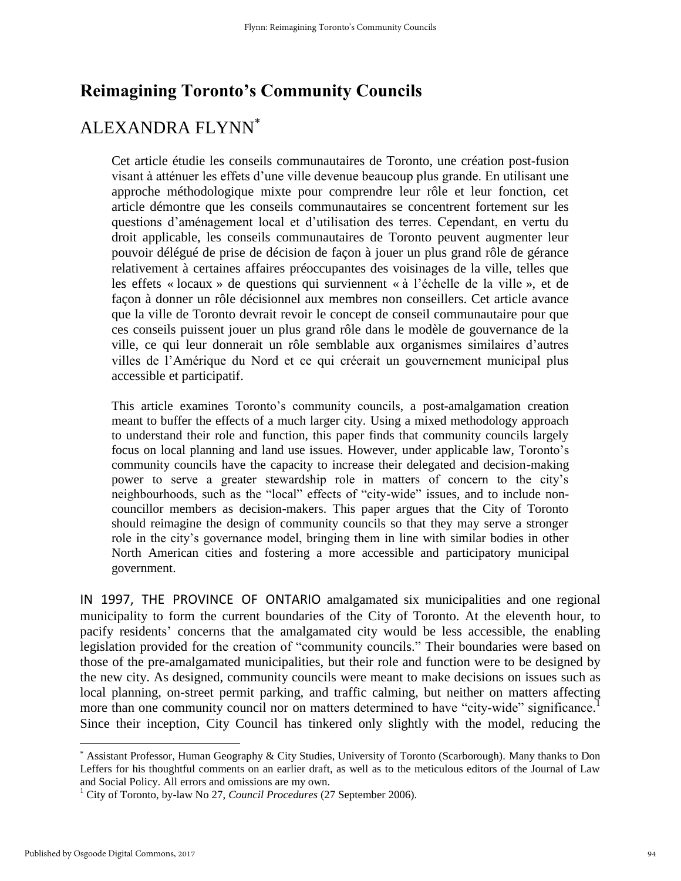## **Reimagining Toronto's Community Councils**

## ALEXANDRA FLYNN

Cet article étudie les conseils communautaires de Toronto, une création post-fusion visant à atténuer les effets d'une ville devenue beaucoup plus grande. En utilisant une approche méthodologique mixte pour comprendre leur rôle et leur fonction, cet article démontre que les conseils communautaires se concentrent fortement sur les questions d'aménagement local et d'utilisation des terres. Cependant, en vertu du droit applicable, les conseils communautaires de Toronto peuvent augmenter leur pouvoir délégué de prise de décision de façon à jouer un plus grand rôle de gérance relativement à certaines affaires préoccupantes des voisinages de la ville, telles que les effets « locaux » de questions qui surviennent « à l'échelle de la ville », et de façon à donner un rôle décisionnel aux membres non conseillers. Cet article avance que la ville de Toronto devrait revoir le concept de conseil communautaire pour que ces conseils puissent jouer un plus grand rôle dans le modèle de gouvernance de la ville, ce qui leur donnerait un rôle semblable aux organismes similaires d'autres villes de l'Amérique du Nord et ce qui créerait un gouvernement municipal plus accessible et participatif.

This article examines Toronto's community councils, a post-amalgamation creation meant to buffer the effects of a much larger city. Using a mixed methodology approach to understand their role and function, this paper finds that community councils largely focus on local planning and land use issues. However, under applicable law, Toronto's community councils have the capacity to increase their delegated and decision-making power to serve a greater stewardship role in matters of concern to the city's neighbourhoods, such as the "local" effects of "city-wide" issues, and to include noncouncillor members as decision-makers. This paper argues that the City of Toronto should reimagine the design of community councils so that they may serve a stronger role in the city's governance model, bringing them in line with similar bodies in other North American cities and fostering a more accessible and participatory municipal government.

IN 1997, THE PROVINCE OF ONTARIO amalgamated six municipalities and one regional municipality to form the current boundaries of the City of Toronto. At the eleventh hour, to pacify residents' concerns that the amalgamated city would be less accessible, the enabling legislation provided for the creation of "community councils." Their boundaries were based on those of the pre-amalgamated municipalities, but their role and function were to be designed by the new city. As designed, community councils were meant to make decisions on issues such as local planning, on-street permit parking, and traffic calming, but neither on matters affecting more than one community council nor on matters determined to have "city-wide" significance.<sup>1</sup> Since their inception, City Council has tinkered only slightly with the model, reducing the

 Assistant Professor, Human Geography & City Studies, University of Toronto (Scarborough). Many thanks to Don Leffers for his thoughtful comments on an earlier draft, as well as to the meticulous editors of the Journal of Law and Social Policy. All errors and omissions are my own.

<sup>&</sup>lt;sup>1</sup> City of Toronto, by-law No 27, *Council Procedures* (27 September 2006).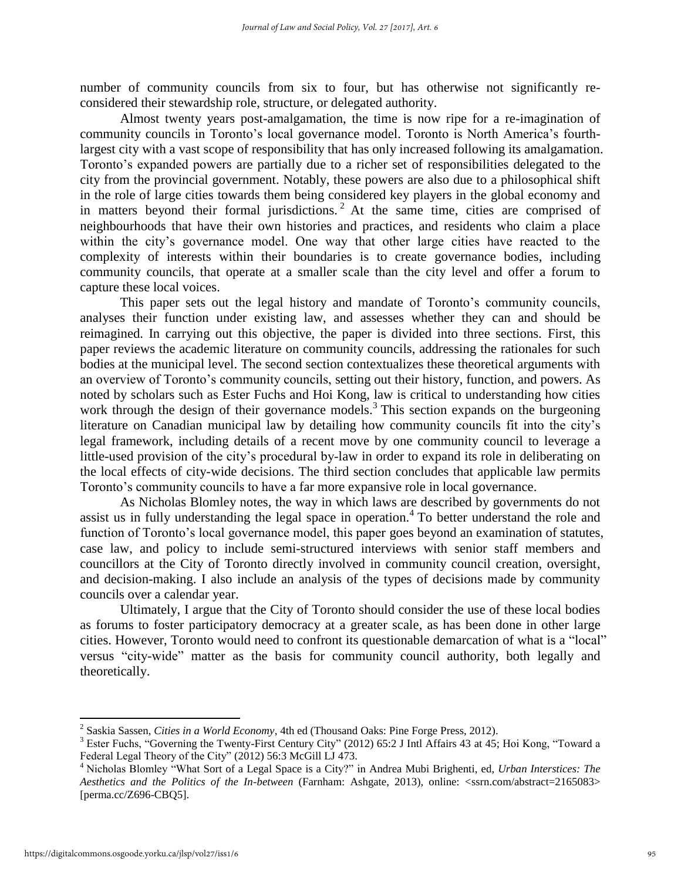number of community councils from six to four, but has otherwise not significantly reconsidered their stewardship role, structure, or delegated authority.

Almost twenty years post-amalgamation, the time is now ripe for a re-imagination of community councils in Toronto's local governance model. Toronto is North America's fourthlargest city with a vast scope of responsibility that has only increased following its amalgamation. Toronto's expanded powers are partially due to a richer set of responsibilities delegated to the city from the provincial government. Notably, these powers are also due to a philosophical shift in the role of large cities towards them being considered key players in the global economy and in matters beyond their formal jurisdictions.<sup>2</sup> At the same time, cities are comprised of neighbourhoods that have their own histories and practices, and residents who claim a place within the city's governance model. One way that other large cities have reacted to the complexity of interests within their boundaries is to create governance bodies, including community councils, that operate at a smaller scale than the city level and offer a forum to capture these local voices.

This paper sets out the legal history and mandate of Toronto's community councils, analyses their function under existing law, and assesses whether they can and should be reimagined. In carrying out this objective, the paper is divided into three sections. First, this paper reviews the academic literature on community councils, addressing the rationales for such bodies at the municipal level. The second section contextualizes these theoretical arguments with an overview of Toronto's community councils, setting out their history, function, and powers. As noted by scholars such as Ester Fuchs and Hoi Kong, law is critical to understanding how cities work through the design of their governance models.<sup>3</sup> This section expands on the burgeoning literature on Canadian municipal law by detailing how community councils fit into the city's legal framework, including details of a recent move by one community council to leverage a little-used provision of the city's procedural by-law in order to expand its role in deliberating on the local effects of city-wide decisions. The third section concludes that applicable law permits Toronto's community councils to have a far more expansive role in local governance.

As Nicholas Blomley notes, the way in which laws are described by governments do not assist us in fully understanding the legal space in operation.<sup>4</sup> To better understand the role and function of Toronto's local governance model, this paper goes beyond an examination of statutes, case law, and policy to include semi-structured interviews with senior staff members and councillors at the City of Toronto directly involved in community council creation, oversight, and decision-making. I also include an analysis of the types of decisions made by community councils over a calendar year.

Ultimately, I argue that the City of Toronto should consider the use of these local bodies as forums to foster participatory democracy at a greater scale, as has been done in other large cities. However, Toronto would need to confront its questionable demarcation of what is a "local" versus "city-wide" matter as the basis for community council authority, both legally and theoretically.

 2 Saskia Sassen, *Cities in a World Economy*, 4th ed (Thousand Oaks: Pine Forge Press, 2012).

<sup>&</sup>lt;sup>3</sup> Ester Fuchs, "Governing the Twenty-First Century City" (2012) 65:2 J Intl Affairs 43 at 45; Hoi Kong, "Toward a Federal Legal Theory of the City" (2012) 56:3 McGill LJ 473.

<sup>4</sup> Nicholas Blomley "What Sort of a Legal Space is a City?" in Andrea Mubi Brighenti, ed, *Urban Interstices: The Aesthetics and the Politics of the In-between* (Farnham: Ashgate, 2013), online: <ssrn.com/abstract=2165083> [perma.cc/Z696-CBQ5].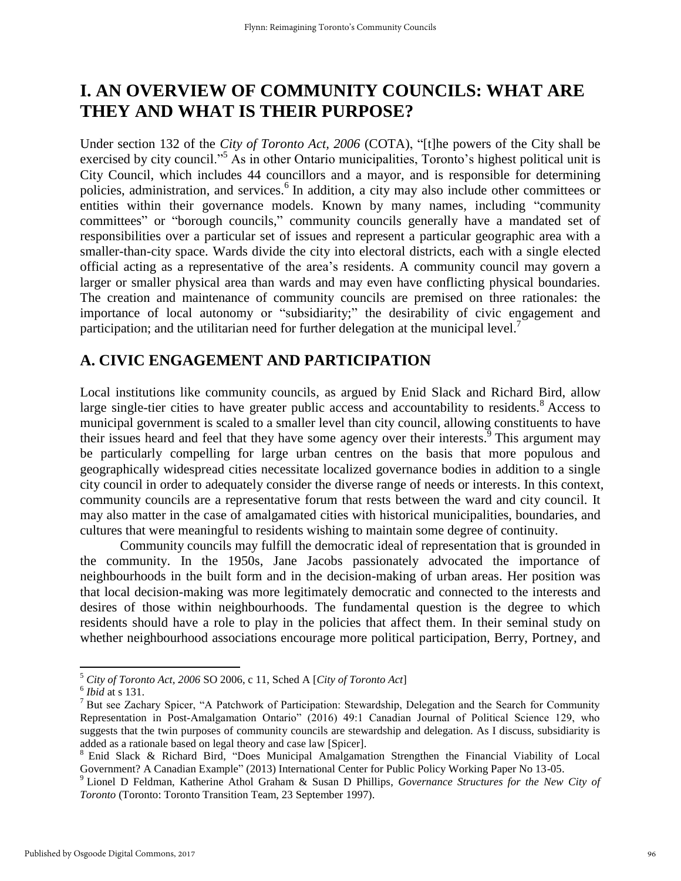## **I. AN OVERVIEW OF COMMUNITY COUNCILS: WHAT ARE THEY AND WHAT IS THEIR PURPOSE?**

Under section 132 of the *City of Toronto Act, 2006* (COTA), "[t]he powers of the City shall be exercised by city council."<sup>5</sup> As in other Ontario municipalities, Toronto's highest political unit is City Council, which includes 44 councillors and a mayor, and is responsible for determining policies, administration, and services.<sup>6</sup> In addition, a city may also include other committees or entities within their governance models. Known by many names, including "community committees" or "borough councils," community councils generally have a mandated set of responsibilities over a particular set of issues and represent a particular geographic area with a smaller-than-city space. Wards divide the city into electoral districts, each with a single elected official acting as a representative of the area's residents. A community council may govern a larger or smaller physical area than wards and may even have conflicting physical boundaries. The creation and maintenance of community councils are premised on three rationales: the importance of local autonomy or "subsidiarity;" the desirability of civic engagement and participation; and the utilitarian need for further delegation at the municipal level.<sup>7</sup>

#### **A. CIVIC ENGAGEMENT AND PARTICIPATION**

Local institutions like community councils, as argued by Enid Slack and Richard Bird, allow large single-tier cities to have greater public access and accountability to residents.<sup>8</sup> Access to municipal government is scaled to a smaller level than city council, allowing constituents to have their issues heard and feel that they have some agency over their interests.<sup>9</sup> This argument may be particularly compelling for large urban centres on the basis that more populous and geographically widespread cities necessitate localized governance bodies in addition to a single city council in order to adequately consider the diverse range of needs or interests. In this context, community councils are a representative forum that rests between the ward and city council. It may also matter in the case of amalgamated cities with historical municipalities, boundaries, and cultures that were meaningful to residents wishing to maintain some degree of continuity.

Community councils may fulfill the democratic ideal of representation that is grounded in the community. In the 1950s, Jane Jacobs passionately advocated the importance of neighbourhoods in the built form and in the decision-making of urban areas. Her position was that local decision-making was more legitimately democratic and connected to the interests and desires of those within neighbourhoods. The fundamental question is the degree to which residents should have a role to play in the policies that affect them. In their seminal study on whether neighbourhood associations encourage more political participation, Berry, Portney, and

<sup>5</sup> *City of Toronto Act, 2006* SO 2006, c 11, Sched A [*City of Toronto Act*]

<sup>6</sup> *Ibid* at s 131.

<sup>7</sup> But see Zachary Spicer, "A Patchwork of Participation: Stewardship, Delegation and the Search for Community Representation in Post-Amalgamation Ontario" (2016) 49:1 Canadian Journal of Political Science 129, who suggests that the twin purposes of community councils are stewardship and delegation. As I discuss, subsidiarity is added as a rationale based on legal theory and case law [Spicer].

<sup>&</sup>lt;sup>8</sup> Enid Slack & Richard Bird, "Does Municipal Amalgamation Strengthen the Financial Viability of Local Government? A Canadian Example" (2013) International Center for Public Policy Working Paper No 13-05.

<sup>9</sup> Lionel D Feldman, Katherine Athol Graham & Susan D Phillips, *Governance Structures for the New City of Toronto* (Toronto: Toronto Transition Team, 23 September 1997).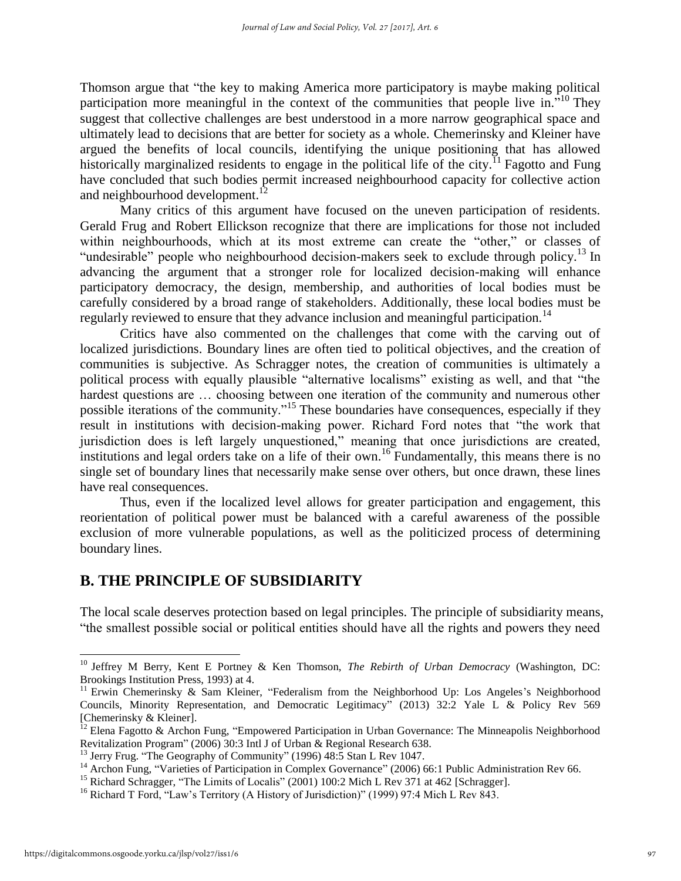Thomson argue that "the key to making America more participatory is maybe making political participation more meaningful in the context of the communities that people live in.<sup> $510$ </sup> They suggest that collective challenges are best understood in a more narrow geographical space and ultimately lead to decisions that are better for society as a whole. Chemerinsky and Kleiner have argued the benefits of local councils, identifying the unique positioning that has allowed historically marginalized residents to engage in the political life of the city.<sup>11</sup> Fagotto and Fung have concluded that such bodies permit increased neighbourhood capacity for collective action and neighbourhood development.<sup>12</sup>

Many critics of this argument have focused on the uneven participation of residents. Gerald Frug and Robert Ellickson recognize that there are implications for those not included within neighbourhoods, which at its most extreme can create the "other," or classes of "undesirable" people who neighbourhood decision-makers seek to exclude through policy.<sup>13</sup> In advancing the argument that a stronger role for localized decision-making will enhance participatory democracy, the design, membership, and authorities of local bodies must be carefully considered by a broad range of stakeholders. Additionally, these local bodies must be regularly reviewed to ensure that they advance inclusion and meaningful participation.<sup>14</sup>

Critics have also commented on the challenges that come with the carving out of localized jurisdictions. Boundary lines are often tied to political objectives, and the creation of communities is subjective. As Schragger notes, the creation of communities is ultimately a political process with equally plausible "alternative localisms" existing as well, and that "the hardest questions are ... choosing between one iteration of the community and numerous other possible iterations of the community."<sup>15</sup> These boundaries have consequences, especially if they result in institutions with decision-making power. Richard Ford notes that "the work that jurisdiction does is left largely unquestioned," meaning that once jurisdictions are created, institutions and legal orders take on a life of their own.<sup>16</sup> Fundamentally, this means there is no single set of boundary lines that necessarily make sense over others, but once drawn, these lines have real consequences.

Thus, even if the localized level allows for greater participation and engagement, this reorientation of political power must be balanced with a careful awareness of the possible exclusion of more vulnerable populations, as well as the politicized process of determining boundary lines.

#### **B. THE PRINCIPLE OF SUBSIDIARITY**

The local scale deserves protection based on legal principles. The principle of subsidiarity means, "the smallest possible social or political entities should have all the rights and powers they need

<sup>10</sup> Jeffrey M Berry, Kent E Portney & Ken Thomson, *The Rebirth of Urban Democracy* (Washington, DC: Brookings Institution Press, 1993) at 4.

<sup>&</sup>lt;sup>11</sup> Erwin Chemerinsky & Sam Kleiner, "Federalism from the Neighborhood Up: Los Angeles's Neighborhood Councils, Minority Representation, and Democratic Legitimacy" (2013) 32:2 Yale L & Policy Rev 569 [Chemerinsky & Kleiner].

 $^{12}$  Elena Fagotto & Archon Fung, "Empowered Participation in Urban Governance: The Minneapolis Neighborhood Revitalization Program" (2006) 30:3 Intl J of Urban & Regional Research 638.

<sup>&</sup>lt;sup>13</sup> Jerry Frug. "The Geography of Community" (1996) 48:5 Stan L Rev 1047.

<sup>&</sup>lt;sup>14</sup> Archon Fung, "Varieties of Participation in Complex Governance" (2006) 66:1 Public Administration Rev 66.

<sup>&</sup>lt;sup>15</sup> Richard Schragger, "The Limits of Localis" (2001) 100:2 Mich L Rev 371 at 462 [Schragger].

<sup>&</sup>lt;sup>16</sup> Richard T Ford, "Law's Territory (A History of Jurisdiction)" (1999) 97:4 Mich L Rev 843.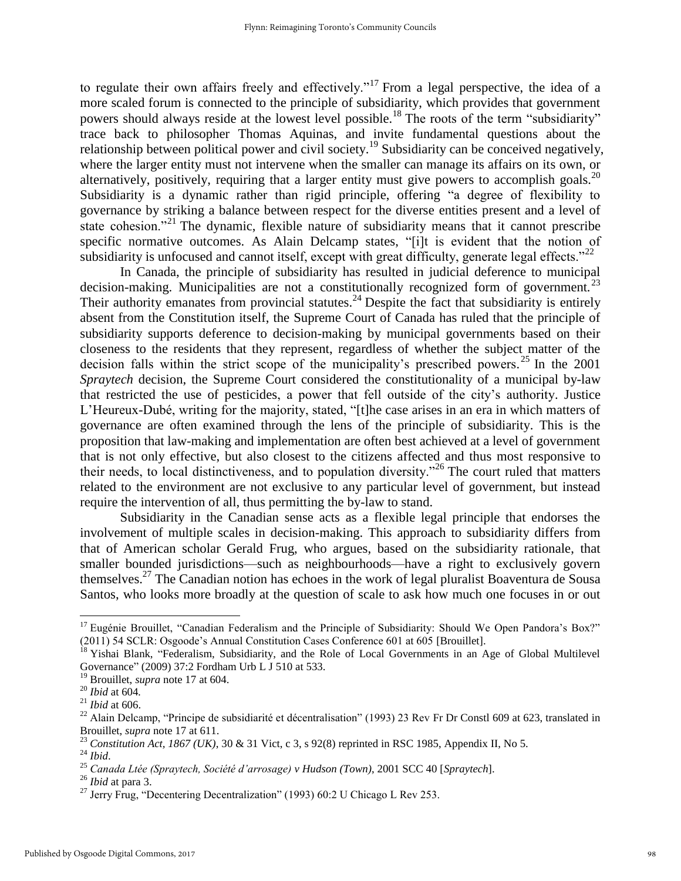to regulate their own affairs freely and effectively."<sup>17</sup> From a legal perspective, the idea of a more scaled forum is connected to the principle of subsidiarity, which provides that government powers should always reside at the lowest level possible.<sup>18</sup> The roots of the term "subsidiarity" trace back to philosopher Thomas Aquinas, and invite fundamental questions about the relationship between political power and civil society.<sup>19</sup> Subsidiarity can be conceived negatively, where the larger entity must not intervene when the smaller can manage its affairs on its own, or alternatively, positively, requiring that a larger entity must give powers to accomplish goals.<sup>20</sup> Subsidiarity is a dynamic rather than rigid principle, offering "a degree of flexibility to governance by striking a balance between respect for the diverse entities present and a level of state cohesion."<sup>21</sup> The dynamic, flexible nature of subsidiarity means that it cannot prescribe specific normative outcomes. As Alain Delcamp states, "[i]t is evident that the notion of subsidiarity is unfocused and cannot itself, except with great difficulty, generate legal effects."<sup>22</sup>

In Canada, the principle of subsidiarity has resulted in judicial deference to municipal decision-making. Municipalities are not a constitutionally recognized form of government.<sup>23</sup> Their authority emanates from provincial statutes.<sup>24</sup> Despite the fact that subsidiarity is entirely absent from the Constitution itself, the Supreme Court of Canada has ruled that the principle of subsidiarity supports deference to decision-making by municipal governments based on their closeness to the residents that they represent, regardless of whether the subject matter of the decision falls within the strict scope of the municipality's prescribed powers.<sup>25</sup> In the 2001 *Spraytech* decision, the Supreme Court considered the constitutionality of a municipal by-law that restricted the use of pesticides, a power that fell outside of the city's authority. Justice L'Heureux-Dubé, writing for the majority, stated, "[t]he case arises in an era in which matters of governance are often examined through the lens of the principle of subsidiarity. This is the proposition that law-making and implementation are often best achieved at a level of government that is not only effective, but also closest to the citizens affected and thus most responsive to their needs, to local distinctiveness, and to population diversity."<sup>26</sup> The court ruled that matters related to the environment are not exclusive to any particular level of government, but instead require the intervention of all, thus permitting the by-law to stand.

Subsidiarity in the Canadian sense acts as a flexible legal principle that endorses the involvement of multiple scales in decision-making. This approach to subsidiarity differs from that of American scholar Gerald Frug, who argues, based on the subsidiarity rationale, that smaller bounded jurisdictions—such as neighbourhoods—have a right to exclusively govern themselves.<sup>27</sup> The Canadian notion has echoes in the work of legal pluralist Boaventura de Sousa Santos, who looks more broadly at the question of scale to ask how much one focuses in or out

<sup>&</sup>lt;sup>17</sup> Eugénie Brouillet, "Canadian Federalism and the Principle of Subsidiarity: Should We Open Pandora's Box?" (2011) 54 SCLR: Osgoode's Annual Constitution Cases Conference 601 at 605 [Brouillet].

<sup>&</sup>lt;sup>18</sup> Yishai Blank, "Federalism, Subsidiarity, and the Role of Local Governments in an Age of Global Multilevel Governance" (2009) 37:2 Fordham Urb L J 510 at 533.

<sup>19</sup> Brouillet, *supra* note 17 at 604.

<sup>20</sup> *Ibid* at 604*.*

<sup>21</sup> *Ibid* at 606.

 $^{22}$  Alain Delcamp, "Principe de subsidiarité et décentralisation" (1993) 23 Rev Fr Dr Constl 609 at 623, translated in Brouillet, *supra* note 17 at 611.

<sup>23</sup> *Constitution Act, 1867 (UK)*, 30 & 31 Vict, c 3, s 92(8) reprinted in RSC 1985, Appendix II, No 5.

<sup>24</sup> *Ibid*.

<sup>25</sup> *Canada Ltée (Spraytech, Société d'arrosage) v Hudson (Town)*, 2001 SCC 40 [*Spraytech*].

<sup>26</sup> *Ibid* at para 3.

<sup>&</sup>lt;sup>27</sup> Jerry Frug, "Decentering Decentralization" (1993) 60:2 U Chicago L Rev 253.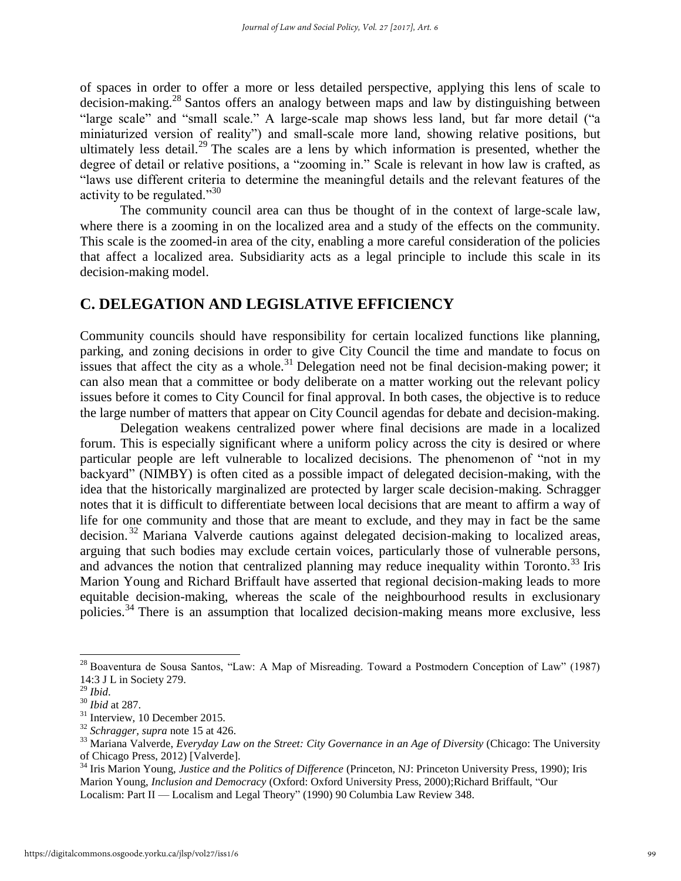of spaces in order to offer a more or less detailed perspective, applying this lens of scale to decision-making.<sup>28</sup> Santos offers an analogy between maps and law by distinguishing between "large scale" and "small scale." A large-scale map shows less land, but far more detail ("a miniaturized version of reality") and small-scale more land, showing relative positions, but ultimately less detail.<sup>29</sup> The scales are a lens by which information is presented, whether the degree of detail or relative positions, a "zooming in." Scale is relevant in how law is crafted, as "laws use different criteria to determine the meaningful details and the relevant features of the activity to be regulated."<sup>30</sup>

The community council area can thus be thought of in the context of large-scale law, where there is a zooming in on the localized area and a study of the effects on the community. This scale is the zoomed-in area of the city, enabling a more careful consideration of the policies that affect a localized area. Subsidiarity acts as a legal principle to include this scale in its decision-making model.

#### **C. DELEGATION AND LEGISLATIVE EFFICIENCY**

Community councils should have responsibility for certain localized functions like planning, parking, and zoning decisions in order to give City Council the time and mandate to focus on issues that affect the city as a whole.<sup>31</sup> Delegation need not be final decision-making power; it can also mean that a committee or body deliberate on a matter working out the relevant policy issues before it comes to City Council for final approval. In both cases, the objective is to reduce the large number of matters that appear on City Council agendas for debate and decision-making.

Delegation weakens centralized power where final decisions are made in a localized forum. This is especially significant where a uniform policy across the city is desired or where particular people are left vulnerable to localized decisions. The phenomenon of "not in my backyard" (NIMBY) is often cited as a possible impact of delegated decision-making, with the idea that the historically marginalized are protected by larger scale decision-making. Schragger notes that it is difficult to differentiate between local decisions that are meant to affirm a way of life for one community and those that are meant to exclude, and they may in fact be the same decision.<sup>32</sup> Mariana Valverde cautions against delegated decision-making to localized areas, arguing that such bodies may exclude certain voices, particularly those of vulnerable persons, and advances the notion that centralized planning may reduce inequality within Toronto.<sup>33</sup> Iris Marion Young and Richard Briffault have asserted that regional decision-making leads to more equitable decision-making, whereas the scale of the neighbourhood results in exclusionary policies.<sup>34</sup> There is an assumption that localized decision-making means more exclusive, less

<sup>28</sup> Boaventura de Sousa Santos, "Law: A Map of Misreading. Toward a Postmodern Conception of Law" (1987) 14:3 J L in Society 279.

<sup>29</sup> *Ibid*.

<sup>30</sup> *Ibid* at 287.

<sup>&</sup>lt;sup>31</sup> Interview, 10 December 2015.

<sup>32</sup> *Schragger, supra* note 15 at 426.

<sup>33</sup> Mariana Valverde, *Everyday Law on the Street: City Governance in an Age of Diversity* (Chicago: The University of Chicago Press, 2012) [Valverde].

<sup>34</sup> Iris Marion Young, *Justice and the Politics of Difference* (Princeton, NJ: Princeton University Press, 1990); Iris Marion Young, *Inclusion and Democracy* (Oxford: Oxford University Press, 2000);Richard Briffault, "Our Localism: Part II — Localism and Legal Theory" (1990) 90 Columbia Law Review 348.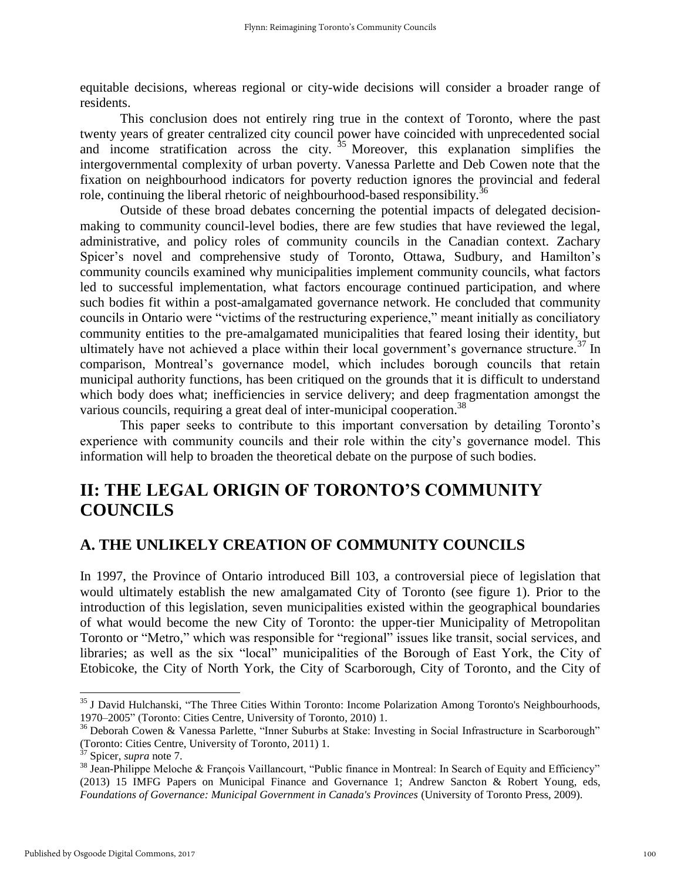equitable decisions, whereas regional or city-wide decisions will consider a broader range of residents.

This conclusion does not entirely ring true in the context of Toronto, where the past twenty years of greater centralized city council power have coincided with unprecedented social and income stratification across the city.  $35$  Moreover, this explanation simplifies the intergovernmental complexity of urban poverty. Vanessa Parlette and Deb Cowen note that the fixation on neighbourhood indicators for poverty reduction ignores the provincial and federal role, continuing the liberal rhetoric of neighbourhood-based responsibility.<sup>36</sup>

Outside of these broad debates concerning the potential impacts of delegated decisionmaking to community council-level bodies, there are few studies that have reviewed the legal, administrative, and policy roles of community councils in the Canadian context. Zachary Spicer's novel and comprehensive study of Toronto, Ottawa, Sudbury, and Hamilton's community councils examined why municipalities implement community councils, what factors led to successful implementation, what factors encourage continued participation, and where such bodies fit within a post-amalgamated governance network. He concluded that community councils in Ontario were "victims of the restructuring experience," meant initially as conciliatory community entities to the pre-amalgamated municipalities that feared losing their identity, but ultimately have not achieved a place within their local government's governance structure.<sup>37</sup> In comparison, Montreal's governance model, which includes borough councils that retain municipal authority functions, has been critiqued on the grounds that it is difficult to understand which body does what; inefficiencies in service delivery; and deep fragmentation amongst the various councils, requiring a great deal of inter-municipal cooperation.<sup>38</sup>

This paper seeks to contribute to this important conversation by detailing Toronto's experience with community councils and their role within the city's governance model. This information will help to broaden the theoretical debate on the purpose of such bodies.

## **II: THE LEGAL ORIGIN OF TORONTO'S COMMUNITY COUNCILS**

#### **A. THE UNLIKELY CREATION OF COMMUNITY COUNCILS**

In 1997, the Province of Ontario introduced Bill 103, a controversial piece of legislation that would ultimately establish the new amalgamated City of Toronto (see figure 1). Prior to the introduction of this legislation, seven municipalities existed within the geographical boundaries of what would become the new City of Toronto: the upper-tier Municipality of Metropolitan Toronto or "Metro," which was responsible for "regional" issues like transit, social services, and libraries; as well as the six "local" municipalities of the Borough of East York, the City of Etobicoke, the City of North York, the City of Scarborough, City of Toronto, and the City of

<sup>&</sup>lt;sup>35</sup> J David Hulchanski, "The Three Cities Within Toronto: Income Polarization Among Toronto's Neighbourhoods, 1970–2005" (Toronto: Cities Centre, University of Toronto, 2010) 1.

<sup>&</sup>lt;sup>36</sup> Deborah Cowen & Vanessa Parlette, "Inner Suburbs at Stake: Investing in Social Infrastructure in Scarborough" (Toronto: Cities Centre, University of Toronto, 2011) 1.

<sup>37</sup> Spicer, *supra* note 7.

<sup>&</sup>lt;sup>38</sup> Jean-Philippe Meloche & François Vaillancourt, "Public finance in Montreal: In Search of Equity and Efficiency" (2013) 15 IMFG Papers on Municipal Finance and Governance 1; Andrew Sancton & Robert Young, eds, *Foundations of Governance: Municipal Government in Canada's Provinces* (University of Toronto Press, 2009).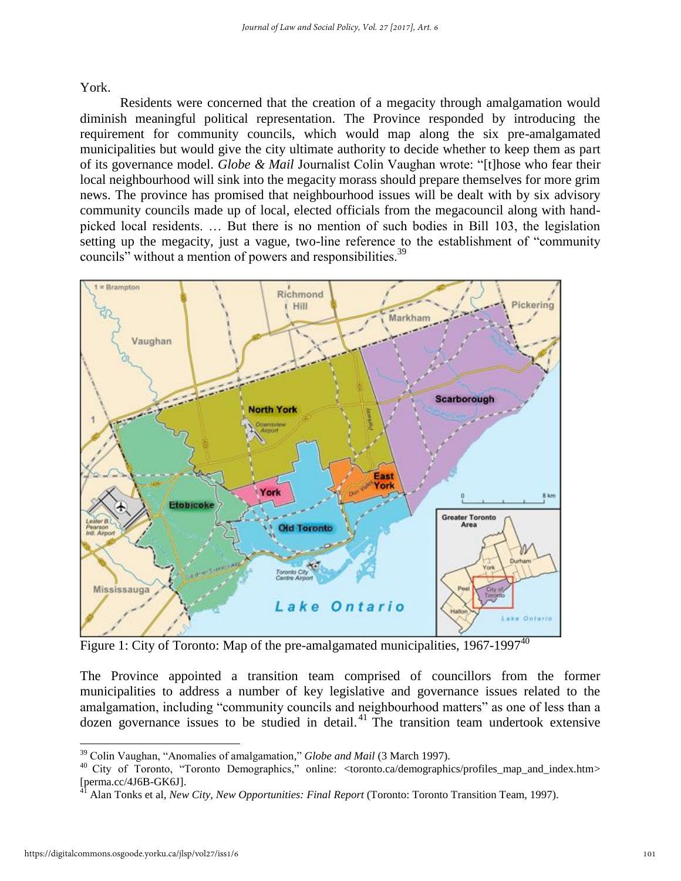York.

Residents were concerned that the creation of a megacity through amalgamation would diminish meaningful political representation. The Province responded by introducing the requirement for community councils, which would map along the six pre-amalgamated municipalities but would give the city ultimate authority to decide whether to keep them as part of its governance model. *Globe & Mail* Journalist Colin Vaughan wrote: "[t]hose who fear their local neighbourhood will sink into the megacity morass should prepare themselves for more grim news. The province has promised that neighbourhood issues will be dealt with by six advisory community councils made up of local, elected officials from the megacouncil along with handpicked local residents. … But there is no mention of such bodies in Bill 103, the legislation setting up the megacity, just a vague, two-line reference to the establishment of "community councils" without a mention of powers and responsibilities.<sup>39</sup>



Figure 1: City of Toronto: Map of the pre-amalgamated municipalities,  $1967-1997^{40}$ 

The Province appointed a transition team comprised of councillors from the former municipalities to address a number of key legislative and governance issues related to the amalgamation, including "community councils and neighbourhood matters" as one of less than a dozen governance issues to be studied in detail.<sup>41</sup> The transition team undertook extensive

<sup>39</sup> Colin Vaughan, "Anomalies of amalgamation," *Globe and Mail* (3 March 1997).

<sup>40</sup> City of Toronto, "Toronto Demographics," online: [<toronto.ca/demographics/profiles\\_map\\_and\\_index.htm>](http://www.toronto.ca/demographics/profiles_map_and_index.htm)  $[perma. cc/4J6B-GK6J]$ .

<sup>41</sup> Alan Tonks et al, *New City, New Opportunities: Final Report* (Toronto: Toronto Transition Team, 1997).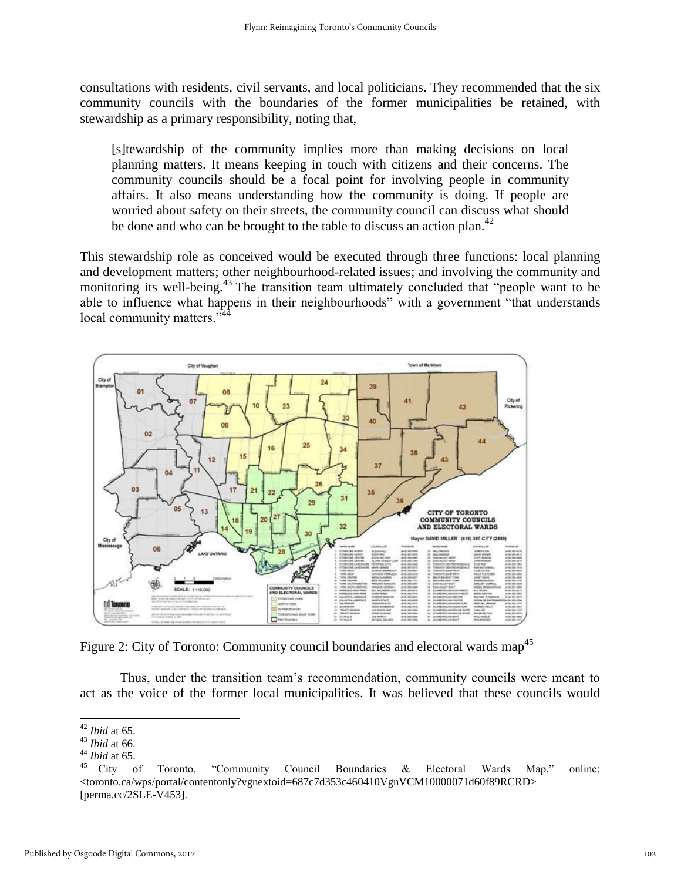consultations with residents, civil servants, and local politicians. They recommended that the six community councils with the boundaries of the former municipalities be retained, with stewardship as a primary responsibility, noting that,

[s]tewardship of the community implies more than making decisions on local planning matters. It means keeping in touch with citizens and their concerns. The community councils should be a focal point for involving people in community affairs. It also means understanding how the community is doing. If people are worried about safety on their streets, the community council can discuss what should be done and who can be brought to the table to discuss an action plan.<sup>42</sup>

This stewardship role as conceived would be executed through three functions: local planning and development matters; other neighbourhood-related issues; and involving the community and monitoring its well-being.<sup>43</sup> The transition team ultimately concluded that "people want to be able to influence what happens in their neighbourhoods" with a government "that understands local community matters."



Figure 2: City of Toronto: Community council boundaries and electoral wards map<sup>45</sup>

Thus, under the transition team's recommendation, community councils were meant to act as the voice of the former local municipalities. It was believed that these councils would

<sup>42</sup> *Ibid* at 65.

<sup>43</sup> *Ibid* at 66.

<sup>44</sup> *Ibid* at 65.

<sup>45</sup> City of Toronto, "Community Council Boundaries & Electoral Wards Map," online: <toronto.ca/wps/portal/contentonly?vgnextoid=687c7d353c460410VgnVCM10000071d60f89RCRD> [perma.cc/2SLE-V453].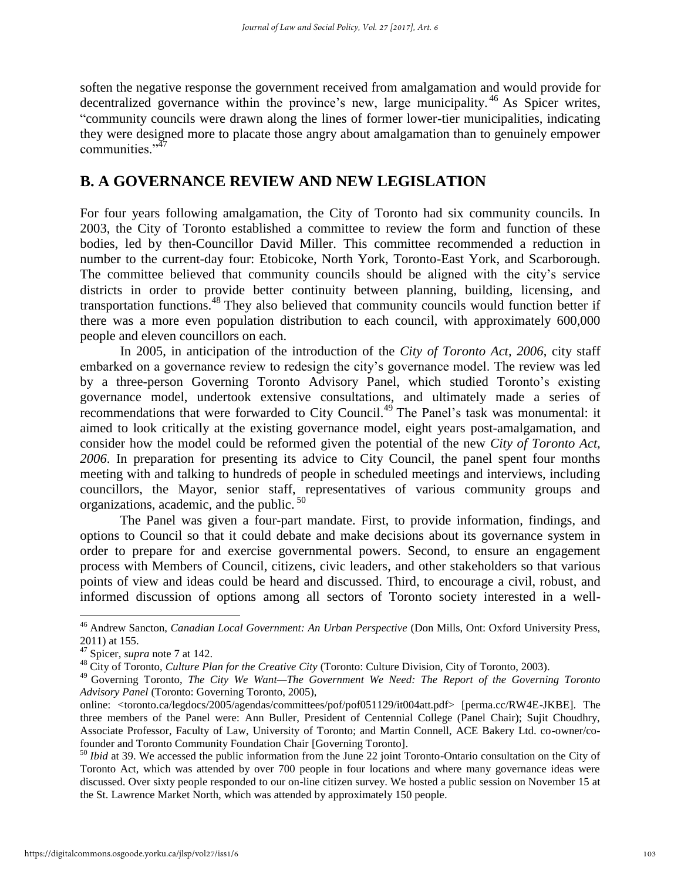soften the negative response the government received from amalgamation and would provide for decentralized governance within the province's new, large municipality.<sup>46</sup> As Spicer writes, "community councils were drawn along the lines of former lower-tier municipalities, indicating they were designed more to placate those angry about amalgamation than to genuinely empower communities<sup>"47</sup>

#### **B. A GOVERNANCE REVIEW AND NEW LEGISLATION**

For four years following amalgamation, the City of Toronto had six community councils. In 2003, the City of Toronto established a committee to review the form and function of these bodies, led by then-Councillor David Miller. This committee recommended a reduction in number to the current-day four: Etobicoke, North York, Toronto-East York, and Scarborough. The committee believed that community councils should be aligned with the city's service districts in order to provide better continuity between planning, building, licensing, and transportation functions.<sup>48</sup> They also believed that community councils would function better if there was a more even population distribution to each council, with approximately 600,000 people and eleven councillors on each.

In 2005, in anticipation of the introduction of the *City of Toronto Act, 2006*, city staff embarked on a governance review to redesign the city's governance model. The review was led by a three-person Governing Toronto Advisory Panel, which studied Toronto's existing governance model, undertook extensive consultations, and ultimately made a series of recommendations that were forwarded to City Council.<sup>49</sup> The Panel's task was monumental: it aimed to look critically at the existing governance model, eight years post-amalgamation, and consider how the model could be reformed given the potential of the new *City of Toronto Act, 2006*. In preparation for presenting its advice to City Council, the panel spent four months meeting with and talking to hundreds of people in scheduled meetings and interviews, including councillors, the Mayor, senior staff, representatives of various community groups and organizations, academic, and the public. <sup>50</sup>

The Panel was given a four-part mandate. First, to provide information, findings, and options to Council so that it could debate and make decisions about its governance system in order to prepare for and exercise governmental powers. Second, to ensure an engagement process with Members of Council, citizens, civic leaders, and other stakeholders so that various points of view and ideas could be heard and discussed. Third, to encourage a civil, robust, and informed discussion of options among all sectors of Toronto society interested in a well-

<sup>46</sup> Andrew Sancton, *Canadian Local Government: An Urban Perspective* (Don Mills, Ont: Oxford University Press, 2011) at 155.

<sup>47</sup> Spicer, *supra* note 7 at 142.

<sup>48</sup> City of Toronto, *Culture Plan for the Creative City* (Toronto: Culture Division, City of Toronto, 2003).

<sup>49</sup> Governing Toronto, *The City We Want—The Government We Need: The Report of the Governing Toronto Advisory Panel* (Toronto: Governing Toronto, 2005),

online: <toronto.ca/legdocs/2005/agendas/committees/pof/pof051129/it004att.pdf> [perma.cc/RW4E-JKBE]. The three members of the Panel were: Ann Buller, President of Centennial College (Panel Chair); Sujit Choudhry, Associate Professor, Faculty of Law, University of Toronto; and Martin Connell, ACE Bakery Ltd. co-owner/cofounder and Toronto Community Foundation Chair [Governing Toronto].

<sup>&</sup>lt;sup>50</sup> *Ibid* at 39. We accessed the public information from the June 22 joint Toronto-Ontario consultation on the City of Toronto Act, which was attended by over 700 people in four locations and where many governance ideas were discussed. Over sixty people responded to our on-line citizen survey. We hosted a public session on November 15 at the St. Lawrence Market North, which was attended by approximately 150 people.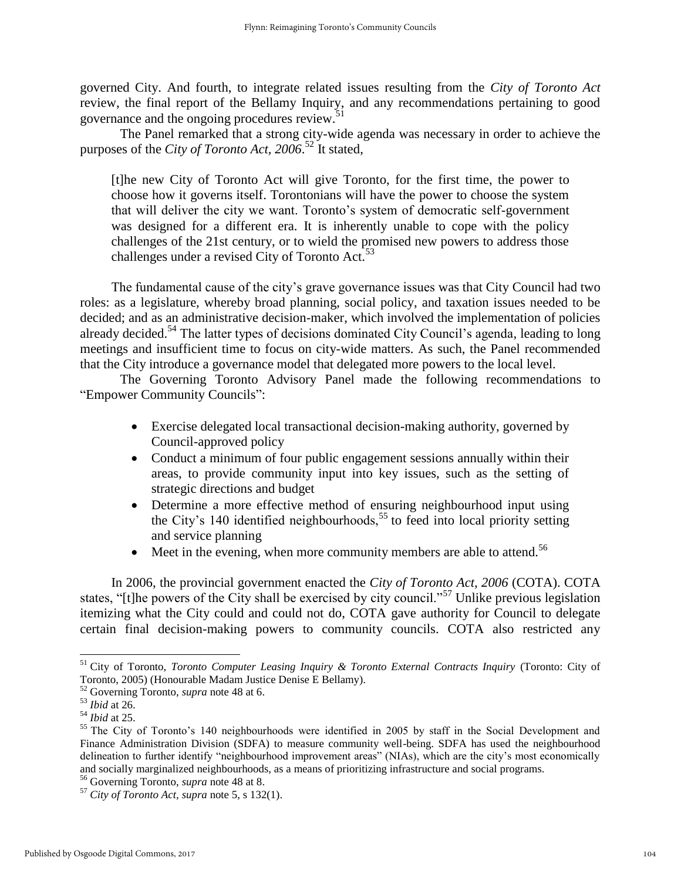governed City. And fourth, to integrate related issues resulting from the *City of Toronto Act* review, the final report of the Bellamy Inquiry, and any recommendations pertaining to good governance and the ongoing procedures review.<sup>51</sup>

The Panel remarked that a strong city-wide agenda was necessary in order to achieve the purposes of the *City of Toronto Act, 2006*. <sup>52</sup> It stated,

[t]he new City of Toronto Act will give Toronto, for the first time, the power to choose how it governs itself. Torontonians will have the power to choose the system that will deliver the city we want. Toronto's system of democratic self-government was designed for a different era. It is inherently unable to cope with the policy challenges of the 21st century, or to wield the promised new powers to address those challenges under a revised City of Toronto Act.<sup>53</sup>

The fundamental cause of the city's grave governance issues was that City Council had two roles: as a legislature, whereby broad planning, social policy, and taxation issues needed to be decided; and as an administrative decision-maker, which involved the implementation of policies already decided.<sup>54</sup> The latter types of decisions dominated City Council's agenda, leading to long meetings and insufficient time to focus on city-wide matters. As such, the Panel recommended that the City introduce a governance model that delegated more powers to the local level.

The Governing Toronto Advisory Panel made the following recommendations to "Empower Community Councils":

- Exercise delegated local transactional decision-making authority, governed by Council-approved policy
- Conduct a minimum of four public engagement sessions annually within their areas, to provide community input into key issues, such as the setting of strategic directions and budget
- Determine a more effective method of ensuring neighbourhood input using the City's 140 identified neighbourhoods,  $55$  to feed into local priority setting and service planning
- $\bullet$  Meet in the evening, when more community members are able to attend.<sup>56</sup>

In 2006, the provincial government enacted the *City of Toronto Act, 2006* (COTA). COTA states, "[t]he powers of the City shall be exercised by city council."<sup>57</sup> Unlike previous legislation itemizing what the City could and could not do, COTA gave authority for Council to delegate certain final decision-making powers to community councils. COTA also restricted any

<sup>51</sup> City of Toronto, *Toronto Computer Leasing Inquiry & Toronto External Contracts Inquiry* (Toronto: City of Toronto, 2005) (Honourable Madam Justice Denise E Bellamy).

<sup>52</sup> Governing Toronto, *supra* note 48 at 6.

<sup>53</sup> *Ibid* at 26.

<sup>54</sup> *Ibid* at 25.

<sup>&</sup>lt;sup>55</sup> The City of Toronto's 140 neighbourhoods were identified in 2005 by staff in the Social Development and Finance Administration Division (SDFA) to measure community well-being. SDFA has used the neighbourhood delineation to further identify "neighbourhood improvement areas" (NIAs), which are the city's most economically and socially marginalized neighbourhoods, as a means of prioritizing infrastructure and social programs.

<sup>56</sup> Governing Toronto, *supra* note 48 at 8.

<sup>57</sup> *City of Toronto Act, supra* note 5, s 132(1).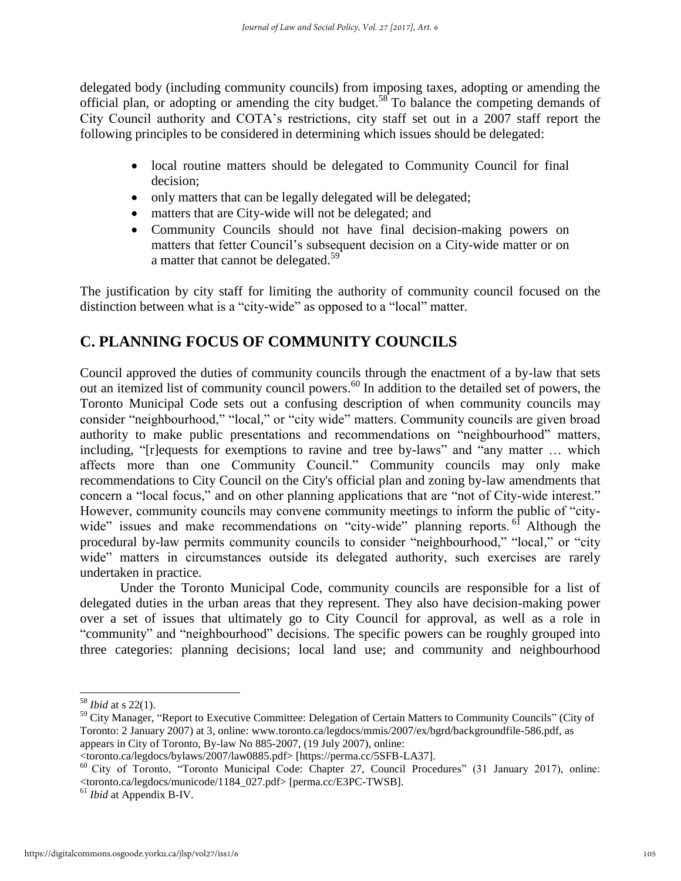delegated body (including community councils) from imposing taxes, adopting or amending the official plan, or adopting or amending the city budget.<sup>58</sup> To balance the competing demands of City Council authority and COTA's restrictions, city staff set out in a 2007 staff report the following principles to be considered in determining which issues should be delegated:

- local routine matters should be delegated to Community Council for final decision;
- only matters that can be legally delegated will be delegated;
- matters that are City-wide will not be delegated; and
- Community Councils should not have final decision-making powers on matters that fetter Council's subsequent decision on a City-wide matter or on a matter that cannot be delegated.<sup>59</sup>

The justification by city staff for limiting the authority of community council focused on the distinction between what is a "city-wide" as opposed to a "local" matter.

## **C. PLANNING FOCUS OF COMMUNITY COUNCILS**

Council approved the duties of community councils through the enactment of a by-law that sets out an itemized list of community council powers.<sup>60</sup> In addition to the detailed set of powers, the Toronto Municipal Code sets out a confusing description of when community councils may consider "neighbourhood," "local," or "city wide" matters. Community councils are given broad authority to make public presentations and recommendations on "neighbourhood" matters, including, "[r]equests for exemptions to ravine and tree by-laws" and "any matter … which affects more than one Community Council." Community councils may only make recommendations to City Council on the City's official plan and zoning by-law amendments that concern a "local focus," and on other planning applications that are "not of City-wide interest." However, community councils may convene community meetings to inform the public of "citywide" issues and make recommendations on "city-wide" planning reports.<sup>61</sup> Although the procedural by-law permits community councils to consider "neighbourhood," "local," or "city wide" matters in circumstances outside its delegated authority, such exercises are rarely undertaken in practice.

Under the Toronto Municipal Code, community councils are responsible for a list of delegated duties in the urban areas that they represent. They also have decision-making power over a set of issues that ultimately go to City Council for approval, as well as a role in "community" and "neighbourhood" decisions. The specific powers can be roughly grouped into three categories: planning decisions; local land use; and community and neighbourhood

<sup>58</sup> *Ibid* at s 22(1).

<sup>&</sup>lt;sup>59</sup> City Manager, "Report to Executive Committee: Delegation of Certain Matters to Community Councils" (City of Toronto: 2 January 2007) at 3, online: www.toronto.ca/legdocs/mmis/2007/ex/bgrd/backgroundfile-586.pdf, as appears in City of Toronto, By-law No 885-2007, (19 July 2007), online:

<sup>&</sup>lt;toronto.ca/legdocs/bylaws/2007/law0885.pdf> [https://perma.cc/5SFB-LA37].

<sup>60</sup> City of Toronto, "Toronto Municipal Code: Chapter 27, Council Procedures" (31 January 2017), online: <toronto.ca/legdocs/municode/1184\_027.pdf> [perma.cc/E3PC-TWSB].

<sup>61</sup> *Ibid* at Appendix B-IV.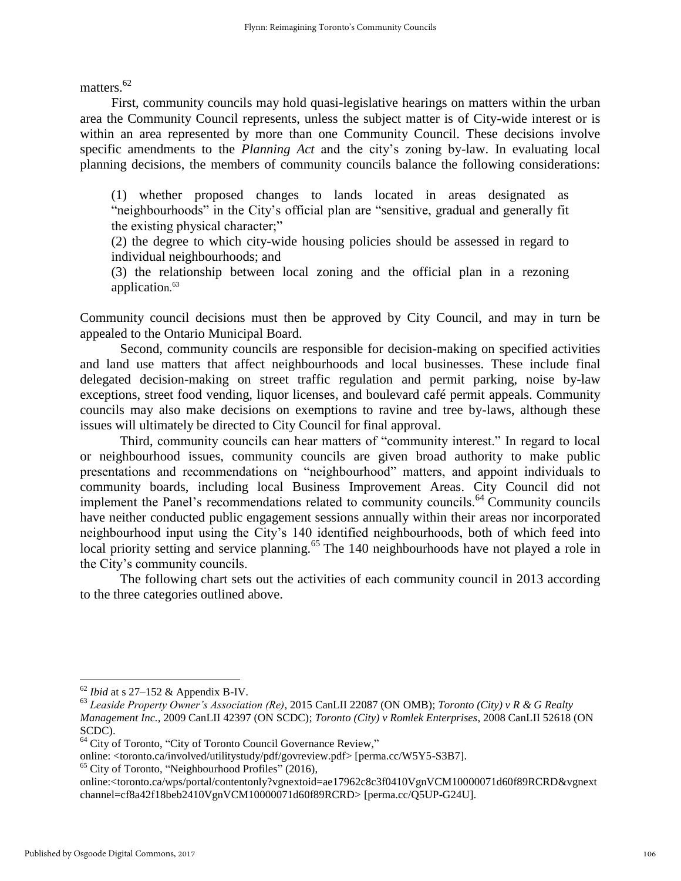matters.<sup>62</sup>

First, community councils may hold quasi-legislative hearings on matters within the urban area the Community Council represents, unless the subject matter is of City-wide interest or is within an area represented by more than one Community Council. These decisions involve specific amendments to the *Planning Act* and the city's zoning by-law. In evaluating local planning decisions, the members of community councils balance the following considerations:

(1) whether proposed changes to lands located in areas designated as "neighbourhoods" in the City's official plan are "sensitive, gradual and generally fit the existing physical character;"

(2) the degree to which city-wide housing policies should be assessed in regard to individual neighbourhoods; and

(3) the relationship between local zoning and the official plan in a rezoning application.<sup>63</sup>

Community council decisions must then be approved by City Council, and may in turn be appealed to the Ontario Municipal Board.

Second, community councils are responsible for decision-making on specified activities and land use matters that affect neighbourhoods and local businesses. These include final delegated decision-making on street traffic regulation and permit parking, noise by-law exceptions, street food vending, liquor licenses, and boulevard café permit appeals. Community councils may also make decisions on exemptions to ravine and tree by-laws, although these issues will ultimately be directed to City Council for final approval.

Third, community councils can hear matters of "community interest." In regard to local or neighbourhood issues, community councils are given broad authority to make public presentations and recommendations on "neighbourhood" matters, and appoint individuals to community boards, including local Business Improvement Areas. City Council did not implement the Panel's recommendations related to community councils.<sup>64</sup> Community councils have neither conducted public engagement sessions annually within their areas nor incorporated neighbourhood input using the City's 140 identified neighbourhoods, both of which feed into local priority setting and service planning.<sup>65</sup> The 140 neighbourhoods have not played a role in the City's community councils.

The following chart sets out the activities of each community council in 2013 according to the three categories outlined above.

<sup>65</sup> City of Toronto, "Neighbourhood Profiles" (2016),

<sup>62</sup> *Ibid* at s 27–152 & Appendix B-IV.

<sup>63</sup> *Leaside Property Owner's Association (Re)*, 2015 CanLII 22087 (ON OMB); *Toronto (City) v R & G Realty Management Inc.,* 2009 CanLII 42397 (ON SCDC); *Toronto (City) v Romlek Enterprises*, 2008 CanLII 52618 (ON SCDC).

<sup>&</sup>lt;sup>64</sup> City of Toronto, "City of Toronto Council Governance Review,"

online: <toronto.ca/involved/utilitystudy/pdf/govreview.pdf> [perma.cc/W5Y5-S3B7].

online:<toronto.ca/wps/portal/contentonly?vgnextoid=ae17962c8c3f0410VgnVCM10000071d60f89RCRD&vgnext channel=cf8a42f18beb2410VgnVCM10000071d60f89RCRD> [perma.cc/Q5UP-G24U].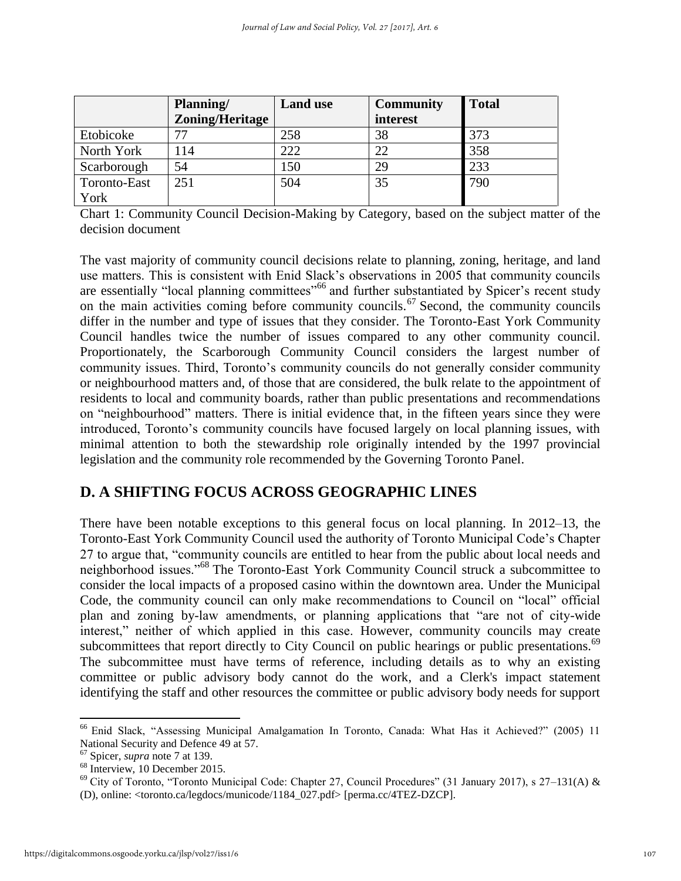|              | Planning/       | <b>Land use</b> | <b>Community</b> | <b>Total</b> |
|--------------|-----------------|-----------------|------------------|--------------|
|              | Zoning/Heritage |                 | interest         |              |
| Etobicoke    |                 | 258             | 38               | 373          |
| North York   | l 14            | 222             | 22               | 358          |
| Scarborough  | 54              | 150             | 29               | 233          |
| Toronto-East | 251             | 504             | 35               | 790          |
| York         |                 |                 |                  |              |

Chart 1: Community Council Decision-Making by Category, based on the subject matter of the decision document

The vast majority of community council decisions relate to planning, zoning, heritage, and land use matters. This is consistent with Enid Slack's observations in 2005 that community councils are essentially "local planning committees"<sup>66</sup> and further substantiated by Spicer's recent study on the main activities coming before community councils.<sup>67</sup> Second, the community councils differ in the number and type of issues that they consider. The Toronto-East York Community Council handles twice the number of issues compared to any other community council. Proportionately, the Scarborough Community Council considers the largest number of community issues. Third, Toronto's community councils do not generally consider community or neighbourhood matters and, of those that are considered, the bulk relate to the appointment of residents to local and community boards, rather than public presentations and recommendations on "neighbourhood" matters. There is initial evidence that, in the fifteen years since they were introduced, Toronto's community councils have focused largely on local planning issues, with minimal attention to both the stewardship role originally intended by the 1997 provincial legislation and the community role recommended by the Governing Toronto Panel.

## **D. A SHIFTING FOCUS ACROSS GEOGRAPHIC LINES**

There have been notable exceptions to this general focus on local planning. In 2012–13, the Toronto-East York Community Council used the authority of Toronto Municipal Code's Chapter 27 to argue that, "community councils are entitled to hear from the public about local needs and neighborhood issues."<sup>68</sup> The Toronto-East York Community Council struck a subcommittee to consider the local impacts of a proposed casino within the downtown area. Under the Municipal Code, the community council can only make recommendations to Council on "local" official plan and zoning by-law amendments, or planning applications that "are not of city-wide interest," neither of which applied in this case. However, community councils may create subcommittees that report directly to City Council on public hearings or public presentations.<sup>69</sup> The subcommittee must have terms of reference, including details as to why an existing committee or public advisory body cannot do the work, and a Clerk's impact statement identifying the staff and other resources the committee or public advisory body needs for support

 $\overline{a}$ <sup>66</sup> Enid Slack, "Assessing Municipal Amalgamation In Toronto, Canada: What Has it Achieved?" (2005) 11 National Security and Defence 49 at 57.

<sup>67</sup> Spicer, *supra* note 7 at 139.

 $68$  Interview, 10 December 2015.

<sup>69</sup> City of Toronto, "Toronto Municipal Code: Chapter 27, Council Procedures" (31 January 2017), s 27–131(A) & (D), online: <toronto.ca/legdocs/municode/1184\_027.pdf> [perma.cc/4TEZ-DZCP].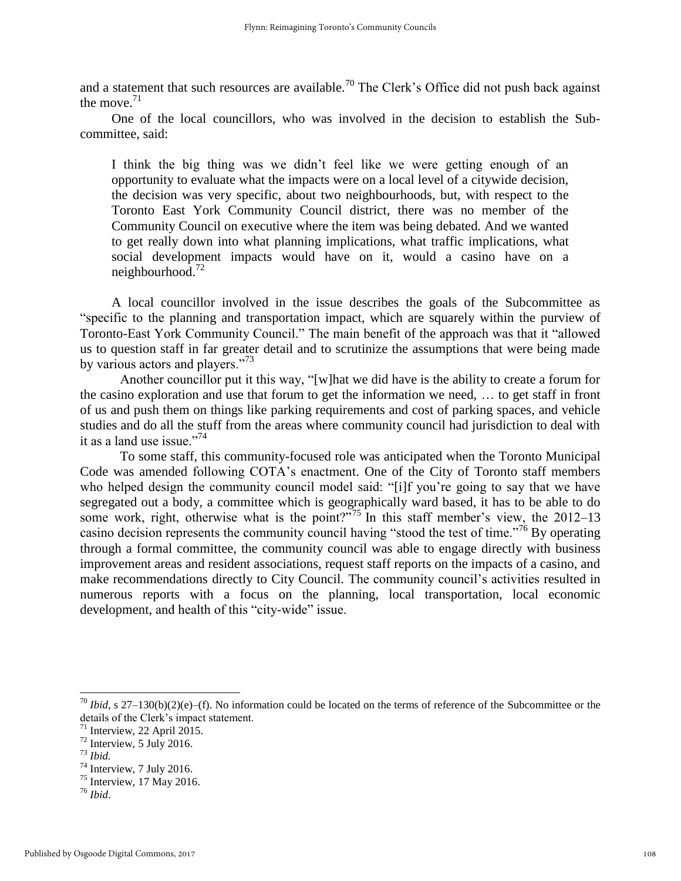and a statement that such resources are available.<sup>70</sup> The Clerk's Office did not push back against the move.  $71$ 

One of the local councillors, who was involved in the decision to establish the Subcommittee, said:

I think the big thing was we didn't feel like we were getting enough of an opportunity to evaluate what the impacts were on a local level of a citywide decision, the decision was very specific, about two neighbourhoods, but, with respect to the Toronto East York Community Council district, there was no member of the Community Council on executive where the item was being debated. And we wanted to get really down into what planning implications, what traffic implications, what social development impacts would have on it, would a casino have on a neighbourhood. $^{72}$ 

A local councillor involved in the issue describes the goals of the Subcommittee as "specific to the planning and transportation impact, which are squarely within the purview of Toronto-East York Community Council." The main benefit of the approach was that it "allowed us to question staff in far greater detail and to scrutinize the assumptions that were being made by various actors and players."<sup>73</sup>

Another councillor put it this way, "[w]hat we did have is the ability to create a forum for the casino exploration and use that forum to get the information we need, … to get staff in front of us and push them on things like parking requirements and cost of parking spaces, and vehicle studies and do all the stuff from the areas where community council had jurisdiction to deal with it as a land use issue."<sup>74</sup>

To some staff, this community-focused role was anticipated when the Toronto Municipal Code was amended following COTA's enactment. One of the City of Toronto staff members who helped design the community council model said: "[i]f you're going to say that we have segregated out a body, a committee which is geographically ward based, it has to be able to do some work, right, otherwise what is the point?"<sup>75</sup> In this staff member's view, the 2012–13 casino decision represents the community council having "stood the test of time."<sup>76</sup> By operating through a formal committee, the community council was able to engage directly with business improvement areas and resident associations, request staff reports on the impacts of a casino, and make recommendations directly to City Council. The community council's activities resulted in numerous reports with a focus on the planning, local transportation, local economic development, and health of this "city-wide" issue.

 $70$  *Ibid*, s 27–130(b)(2)(e)–(f). No information could be located on the terms of reference of the Subcommittee or the details of the Clerk's impact statement.

 $71$  Interview, 22 April 2015.

<sup>72</sup> Interview, 5 July 2016.

<sup>73</sup> *Ibid.*

 $74$  Interview, 7 July 2016.

 $75$  Interview, 17 May 2016.

<sup>76</sup> *Ibid*.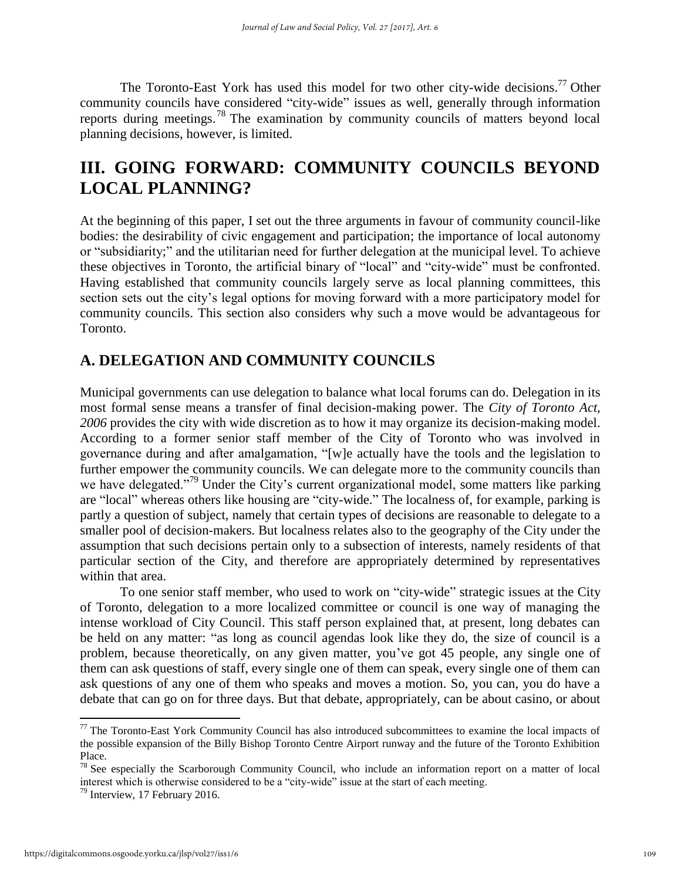The Toronto-East York has used this model for two other city-wide decisions.<sup>77</sup> Other community councils have considered "city-wide" issues as well, generally through information reports during meetings.<sup>78</sup> The examination by community councils of matters beyond local planning decisions, however, is limited.

## **III. GOING FORWARD: COMMUNITY COUNCILS BEYOND LOCAL PLANNING?**

At the beginning of this paper, I set out the three arguments in favour of community council-like bodies: the desirability of civic engagement and participation; the importance of local autonomy or "subsidiarity;" and the utilitarian need for further delegation at the municipal level. To achieve these objectives in Toronto, the artificial binary of "local" and "city-wide" must be confronted. Having established that community councils largely serve as local planning committees, this section sets out the city's legal options for moving forward with a more participatory model for community councils. This section also considers why such a move would be advantageous for Toronto.

## **A. DELEGATION AND COMMUNITY COUNCILS**

Municipal governments can use delegation to balance what local forums can do. Delegation in its most formal sense means a transfer of final decision-making power. The *City of Toronto Act, 2006* provides the city with wide discretion as to how it may organize its decision-making model. According to a former senior staff member of the City of Toronto who was involved in governance during and after amalgamation, "[w]e actually have the tools and the legislation to further empower the community councils. We can delegate more to the community councils than we have delegated."<sup>79</sup> Under the City's current organizational model, some matters like parking are "local" whereas others like housing are "city-wide." The localness of, for example, parking is partly a question of subject, namely that certain types of decisions are reasonable to delegate to a smaller pool of decision-makers. But localness relates also to the geography of the City under the assumption that such decisions pertain only to a subsection of interests, namely residents of that particular section of the City, and therefore are appropriately determined by representatives within that area.

To one senior staff member, who used to work on "city-wide" strategic issues at the City of Toronto, delegation to a more localized committee or council is one way of managing the intense workload of City Council. This staff person explained that, at present, long debates can be held on any matter: "as long as council agendas look like they do, the size of council is a problem, because theoretically, on any given matter, you've got 45 people, any single one of them can ask questions of staff, every single one of them can speak, every single one of them can ask questions of any one of them who speaks and moves a motion. So, you can, you do have a debate that can go on for three days. But that debate, appropriately, can be about casino, or about

 $77$  The Toronto-East York Community Council has also introduced subcommittees to examine the local impacts of the possible expansion of the Billy Bishop Toronto Centre Airport runway and the future of the Toronto Exhibition Place.

<sup>&</sup>lt;sup>78</sup> See especially the Scarborough Community Council, who include an information report on a matter of local interest which is otherwise considered to be a "city-wide" issue at the start of each meeting.

 $79$  Interview, 17 February 2016.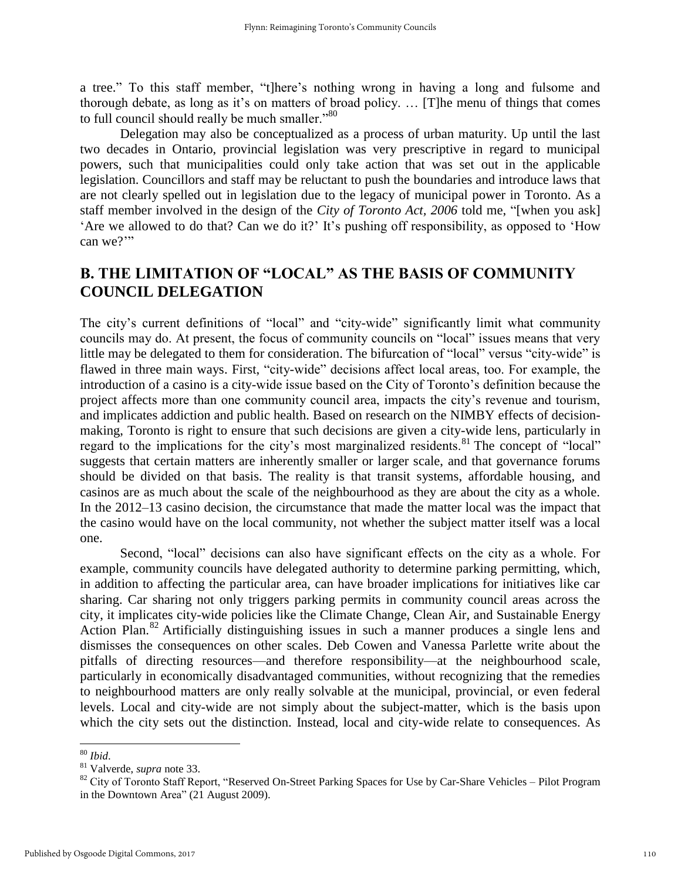a tree." To this staff member, "t]here's nothing wrong in having a long and fulsome and thorough debate, as long as it's on matters of broad policy. … [T]he menu of things that comes to full council should really be much smaller."80

Delegation may also be conceptualized as a process of urban maturity. Up until the last two decades in Ontario, provincial legislation was very prescriptive in regard to municipal powers, such that municipalities could only take action that was set out in the applicable legislation. Councillors and staff may be reluctant to push the boundaries and introduce laws that are not clearly spelled out in legislation due to the legacy of municipal power in Toronto. As a staff member involved in the design of the *City of Toronto Act, 2006* told me, "[when you ask] 'Are we allowed to do that? Can we do it?' It's pushing off responsibility, as opposed to 'How can we?"

### **B. THE LIMITATION OF "LOCAL" AS THE BASIS OF COMMUNITY COUNCIL DELEGATION**

The city's current definitions of "local" and "city-wide" significantly limit what community councils may do. At present, the focus of community councils on "local" issues means that very little may be delegated to them for consideration. The bifurcation of "local" versus "city-wide" is flawed in three main ways. First, "city-wide" decisions affect local areas, too. For example, the introduction of a casino is a city-wide issue based on the City of Toronto's definition because the project affects more than one community council area, impacts the city's revenue and tourism, and implicates addiction and public health. Based on research on the NIMBY effects of decisionmaking, Toronto is right to ensure that such decisions are given a city-wide lens, particularly in regard to the implications for the city's most marginalized residents.<sup>81</sup> The concept of "local" suggests that certain matters are inherently smaller or larger scale, and that governance forums should be divided on that basis. The reality is that transit systems, affordable housing, and casinos are as much about the scale of the neighbourhood as they are about the city as a whole. In the 2012–13 casino decision, the circumstance that made the matter local was the impact that the casino would have on the local community, not whether the subject matter itself was a local one.

Second, "local" decisions can also have significant effects on the city as a whole. For example, community councils have delegated authority to determine parking permitting, which, in addition to affecting the particular area, can have broader implications for initiatives like car sharing. Car sharing not only triggers parking permits in community council areas across the city, it implicates city-wide policies like the Climate Change, Clean Air, and Sustainable Energy Action Plan.<sup>82</sup> Artificially distinguishing issues in such a manner produces a single lens and dismisses the consequences on other scales. Deb Cowen and Vanessa Parlette write about the pitfalls of directing resources—and therefore responsibility—at the neighbourhood scale, particularly in economically disadvantaged communities, without recognizing that the remedies to neighbourhood matters are only really solvable at the municipal, provincial, or even federal levels. Local and city-wide are not simply about the subject-matter, which is the basis upon which the city sets out the distinction. Instead, local and city-wide relate to consequences. As

<sup>80</sup> *Ibid*.

<sup>81</sup> Valverde, *supra* note 33.

<sup>&</sup>lt;sup>82</sup> City of Toronto Staff Report, "Reserved On-Street Parking Spaces for Use by Car-Share Vehicles – Pilot Program in the Downtown Area" (21 August 2009).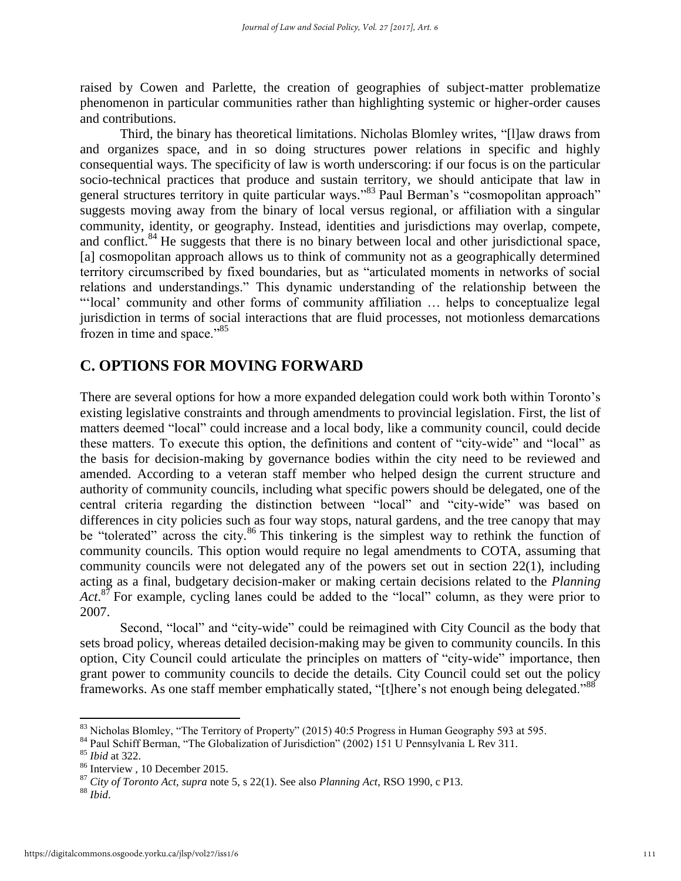raised by Cowen and Parlette, the creation of geographies of subject-matter problematize phenomenon in particular communities rather than highlighting systemic or higher-order causes and contributions.

Third, the binary has theoretical limitations. Nicholas Blomley writes, "[l]aw draws from and organizes space, and in so doing structures power relations in specific and highly consequential ways. The specificity of law is worth underscoring: if our focus is on the particular socio-technical practices that produce and sustain territory, we should anticipate that law in general structures territory in quite particular ways."<sup>83</sup> Paul Berman's "cosmopolitan approach" suggests moving away from the binary of local versus regional, or affiliation with a singular community, identity, or geography. Instead, identities and jurisdictions may overlap, compete, and conflict.<sup>84</sup> He suggests that there is no binary between local and other jurisdictional space, [a] cosmopolitan approach allows us to think of community not as a geographically determined territory circumscribed by fixed boundaries, but as "articulated moments in networks of social relations and understandings." This dynamic understanding of the relationship between the "'local' community and other forms of community affiliation … helps to conceptualize legal jurisdiction in terms of social interactions that are fluid processes, not motionless demarcations frozen in time and space."<sup>85</sup>

#### **C. OPTIONS FOR MOVING FORWARD**

There are several options for how a more expanded delegation could work both within Toronto's existing legislative constraints and through amendments to provincial legislation. First, the list of matters deemed "local" could increase and a local body, like a community council, could decide these matters. To execute this option, the definitions and content of "city-wide" and "local" as the basis for decision-making by governance bodies within the city need to be reviewed and amended. According to a veteran staff member who helped design the current structure and authority of community councils, including what specific powers should be delegated, one of the central criteria regarding the distinction between "local" and "city-wide" was based on differences in city policies such as four way stops, natural gardens, and the tree canopy that may be "tolerated" across the city.<sup>86</sup> This tinkering is the simplest way to rethink the function of community councils. This option would require no legal amendments to COTA, assuming that community councils were not delegated any of the powers set out in section 22(1), including acting as a final, budgetary decision-maker or making certain decisions related to the *Planning*  Act.<sup>87</sup> For example, cycling lanes could be added to the "local" column, as they were prior to 2007.

Second, "local" and "city-wide" could be reimagined with City Council as the body that sets broad policy, whereas detailed decision-making may be given to community councils. In this option, City Council could articulate the principles on matters of "city-wide" importance, then grant power to community councils to decide the details. City Council could set out the policy frameworks. As one staff member emphatically stated, "[t]here's not enough being delegated."<sup>88</sup>

<sup>&</sup>lt;sup>83</sup> Nicholas Blomley, "The Territory of Property" (2015) 40:5 Progress in Human Geography 593 at 595.

<sup>&</sup>lt;sup>84</sup> Paul Schiff Berman, "The Globalization of Jurisdiction" (2002) 151 U Pennsylvania L Rev 311.

<sup>85</sup> *Ibid* at 322.

<sup>86</sup> Interview , 10 December 2015.

<sup>87</sup> *City of Toronto Act, supra* note 5, s 22(1). See also *Planning Act*, RSO 1990, c P13.

<sup>88</sup> *Ibid*.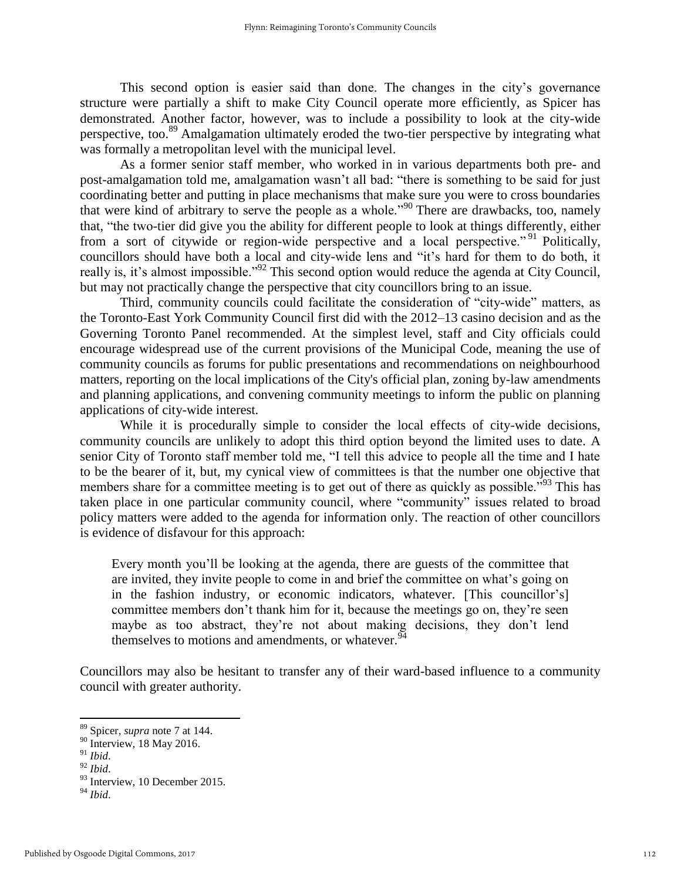This second option is easier said than done. The changes in the city's governance structure were partially a shift to make City Council operate more efficiently, as Spicer has demonstrated. Another factor, however, was to include a possibility to look at the city-wide perspective, too.<sup>89</sup> Amalgamation ultimately eroded the two-tier perspective by integrating what was formally a metropolitan level with the municipal level.

As a former senior staff member, who worked in in various departments both pre- and post-amalgamation told me, amalgamation wasn't all bad: "there is something to be said for just coordinating better and putting in place mechanisms that make sure you were to cross boundaries that were kind of arbitrary to serve the people as a whole."<sup>90</sup> There are drawbacks, too, namely that, "the two-tier did give you the ability for different people to look at things differently, either from a sort of citywide or region-wide perspective and a local perspective."<sup>91</sup> Politically, councillors should have both a local and city-wide lens and "it's hard for them to do both, it really is, it's almost impossible."<sup>92</sup> This second option would reduce the agenda at City Council, but may not practically change the perspective that city councillors bring to an issue.

Third, community councils could facilitate the consideration of "city-wide" matters, as the Toronto-East York Community Council first did with the 2012–13 casino decision and as the Governing Toronto Panel recommended. At the simplest level, staff and City officials could encourage widespread use of the current provisions of the Municipal Code, meaning the use of community councils as forums for public presentations and recommendations on neighbourhood matters, reporting on the local implications of the City's official plan, zoning by-law amendments and planning applications, and convening community meetings to inform the public on planning applications of city-wide interest.

While it is procedurally simple to consider the local effects of city-wide decisions, community councils are unlikely to adopt this third option beyond the limited uses to date. A senior City of Toronto staff member told me, "I tell this advice to people all the time and I hate to be the bearer of it, but, my cynical view of committees is that the number one objective that members share for a committee meeting is to get out of there as quickly as possible.<sup>"93</sup> This has taken place in one particular community council, where "community" issues related to broad policy matters were added to the agenda for information only. The reaction of other councillors is evidence of disfavour for this approach:

Every month you'll be looking at the agenda, there are guests of the committee that are invited, they invite people to come in and brief the committee on what's going on in the fashion industry, or economic indicators, whatever. [This councillor's] committee members don't thank him for it, because the meetings go on, they're seen maybe as too abstract, they're not about making decisions, they don't lend themselves to motions and amendments, or whatever.  $94$ 

Councillors may also be hesitant to transfer any of their ward-based influence to a community council with greater authority.

<sup>89</sup> Spicer, *supra* note 7 at 144.

<sup>&</sup>lt;sup>90</sup> Interview, 18 May 2016.

<sup>91</sup> *Ibid*.

<sup>92</sup> *Ibid*.

<sup>&</sup>lt;sup>93</sup> Interview, 10 December 2015.

<sup>94</sup> *Ibid*.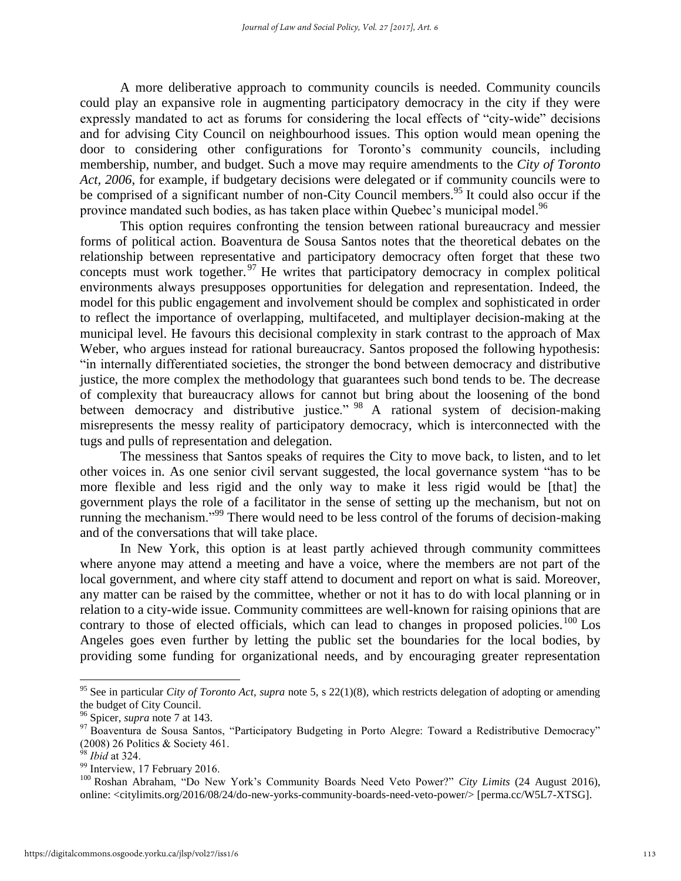A more deliberative approach to community councils is needed. Community councils could play an expansive role in augmenting participatory democracy in the city if they were expressly mandated to act as forums for considering the local effects of "city-wide" decisions and for advising City Council on neighbourhood issues. This option would mean opening the door to considering other configurations for Toronto's community councils, including membership, number, and budget. Such a move may require amendments to the *City of Toronto Act, 2006*, for example, if budgetary decisions were delegated or if community councils were to be comprised of a significant number of non-City Council members.<sup>95</sup> It could also occur if the province mandated such bodies, as has taken place within Quebec's municipal model.<sup>96</sup>

This option requires confronting the tension between rational bureaucracy and messier forms of political action. Boaventura de Sousa Santos notes that the theoretical debates on the relationship between representative and participatory democracy often forget that these two concepts must work together.<sup>97</sup> He writes that participatory democracy in complex political environments always presupposes opportunities for delegation and representation. Indeed, the model for this public engagement and involvement should be complex and sophisticated in order to reflect the importance of overlapping, multifaceted, and multiplayer decision-making at the municipal level. He favours this decisional complexity in stark contrast to the approach of Max Weber, who argues instead for rational bureaucracy. Santos proposed the following hypothesis: "in internally differentiated societies, the stronger the bond between democracy and distributive justice, the more complex the methodology that guarantees such bond tends to be. The decrease of complexity that bureaucracy allows for cannot but bring about the loosening of the bond between democracy and distributive justice." <sup>98</sup> A rational system of decision-making misrepresents the messy reality of participatory democracy, which is interconnected with the tugs and pulls of representation and delegation.

The messiness that Santos speaks of requires the City to move back, to listen, and to let other voices in. As one senior civil servant suggested, the local governance system "has to be more flexible and less rigid and the only way to make it less rigid would be [that] the government plays the role of a facilitator in the sense of setting up the mechanism, but not on running the mechanism."<sup>99</sup> There would need to be less control of the forums of decision-making and of the conversations that will take place.

In New York, this option is at least partly achieved through community committees where anyone may attend a meeting and have a voice, where the members are not part of the local government, and where city staff attend to document and report on what is said. Moreover, any matter can be raised by the committee, whether or not it has to do with local planning or in relation to a city-wide issue. Community committees are well-known for raising opinions that are contrary to those of elected officials, which can lead to changes in proposed policies.<sup>100</sup> Los Angeles goes even further by letting the public set the boundaries for the local bodies, by providing some funding for organizational needs, and by encouraging greater representation

<sup>95</sup> See in particular *City of Toronto Act, supra* note 5, s 22(1)(8), which restricts delegation of adopting or amending the budget of City Council.

<sup>96</sup> Spicer, *supra* note 7 at 143.

<sup>&</sup>lt;sup>97</sup> Boaventura de Sousa Santos, "Participatory Budgeting in Porto Alegre: Toward a Redistributive Democracy" (2008) 26 Politics & Society 461.

<sup>98</sup> *Ibid* at 324.

 $^{99}$  Interview, 17 February 2016.

<sup>100</sup> [Roshan Abraham,](http://citylimits.org/author/roshan-abraham/) "Do New York's Community Boards Need Veto Power?" *City Limits* (24 August 2016), online: <citylimits.org/2016/08/24/do-new-yorks-community-boards-need-veto-power/> [perma.cc/W5L7-XTSG].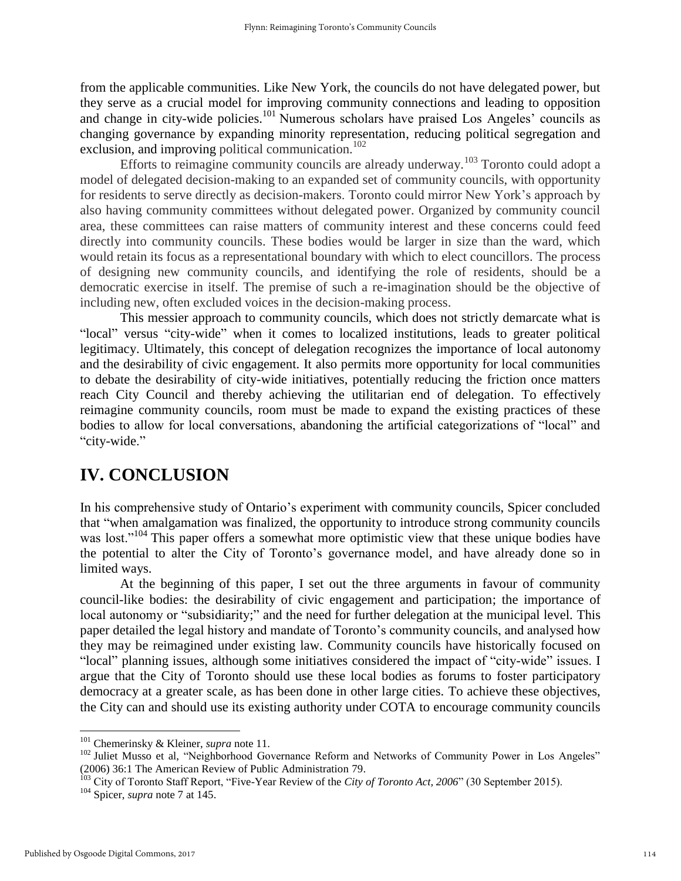from the applicable communities. Like New York, the councils do not have delegated power, but they serve as a crucial model for improving community connections and leading to opposition and change in city-wide policies.<sup>101</sup> Numerous scholars have praised Los Angeles' councils as changing governance by expanding minority representation, reducing political segregation and exclusion, and improving political communication.<sup>102</sup>

Efforts to reimagine community councils are already underway.<sup>103</sup> Toronto could adopt a model of delegated decision-making to an expanded set of community councils, with opportunity for residents to serve directly as decision-makers. Toronto could mirror New York's approach by also having community committees without delegated power. Organized by community council area, these committees can raise matters of community interest and these concerns could feed directly into community councils. These bodies would be larger in size than the ward, which would retain its focus as a representational boundary with which to elect councillors. The process of designing new community councils, and identifying the role of residents, should be a democratic exercise in itself. The premise of such a re-imagination should be the objective of including new, often excluded voices in the decision-making process.

This messier approach to community councils, which does not strictly demarcate what is "local" versus "city-wide" when it comes to localized institutions, leads to greater political legitimacy. Ultimately, this concept of delegation recognizes the importance of local autonomy and the desirability of civic engagement. It also permits more opportunity for local communities to debate the desirability of city-wide initiatives, potentially reducing the friction once matters reach City Council and thereby achieving the utilitarian end of delegation. To effectively reimagine community councils, room must be made to expand the existing practices of these bodies to allow for local conversations, abandoning the artificial categorizations of "local" and "city-wide."

## **IV. CONCLUSION**

In his comprehensive study of Ontario's experiment with community councils, Spicer concluded that "when amalgamation was finalized, the opportunity to introduce strong community councils was lost."<sup>104</sup> This paper offers a somewhat more optimistic view that these unique bodies have the potential to alter the City of Toronto's governance model, and have already done so in limited ways.

At the beginning of this paper, I set out the three arguments in favour of community council-like bodies: the desirability of civic engagement and participation; the importance of local autonomy or "subsidiarity;" and the need for further delegation at the municipal level. This paper detailed the legal history and mandate of Toronto's community councils, and analysed how they may be reimagined under existing law. Community councils have historically focused on "local" planning issues, although some initiatives considered the impact of "city-wide" issues. I argue that the City of Toronto should use these local bodies as forums to foster participatory democracy at a greater scale, as has been done in other large cities. To achieve these objectives, the City can and should use its existing authority under COTA to encourage community councils

<sup>101</sup> Chemerinsky & Kleiner, *supra* note 11.

<sup>&</sup>lt;sup>102</sup> Juliet Musso et al, "Neighborhood Governance Reform and Networks of Community Power in Los Angeles" (2006) 36:1 The American Review of Public Administration 79.

<sup>&</sup>lt;sup>103</sup> City of Toronto Staff Report, "Five-Year Review of the *City of Toronto Act, 2006*" (30 September 2015).

<sup>104</sup> Spicer, *supra* note 7 at 145.